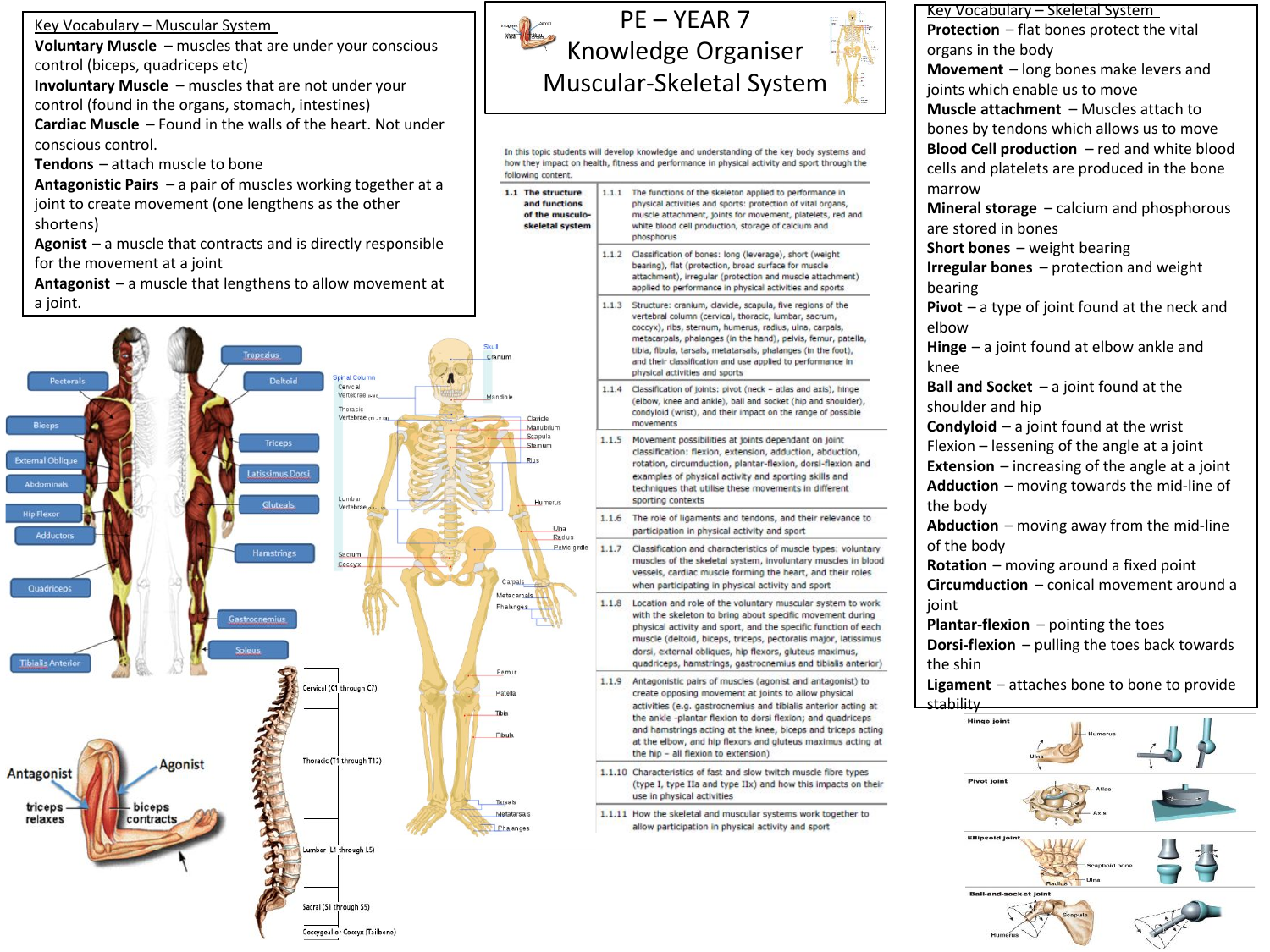Key Vocabulary – Muscular System

**Voluntary Muscle** – muscles that are under your conscious control (biceps, quadriceps etc)

**Involuntary Muscle** – muscles that are not under your control (found in the organs, stomach, intestines)

**Cardiac Muscle** – Found in the walls of the heart. Not under conscious control.

**Tendons** – attach muscle to bone

**Antagonistic Pairs** – a pair of muscles working together at a joint to create movement (one lengthens as the other shortens)

**Agonist** – a muscle that contracts and is directly responsible for the movement at a joint

**Antagonist** – a muscle that lengthens to allow movement at a joint.





phosphorus

movements

sporting contexts

use in physical activities

 $1.1.7$ 

following content. 1.1 The structure

and functions

of the musculo

skeletal system



**Ball-and-encket inin**